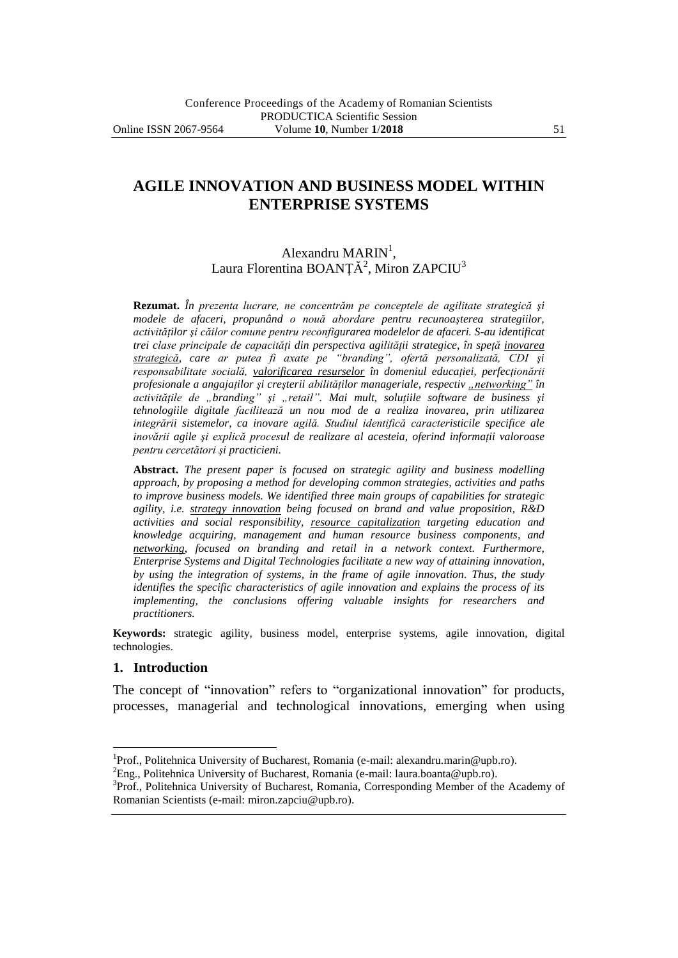# **AGILE INNOVATION AND BUSINESS MODEL WITHIN ENTERPRISE SYSTEMS**

## Alexandru  $\text{MARN}^1$ , Laura Florentina BOANȚĂ<sup>2</sup>, Miron ZAPCIU<sup>3</sup>

**Rezumat.** *În prezenta lucrare, ne concentrăm pe conceptele de agilitate strategică şi modele de afaceri, propunând o nouă abordare pentru recunoaşterea strategiilor, activităţilor şi căilor comune pentru reconfigurarea modelelor de afaceri. S-au identificat trei clase principale de capacităţi din perspectiva agilităţii strategice, în speţă inovarea strategică, care ar putea fi axate pe "branding", ofertă personalizată, CDI şi responsabilitate socială, valorificarea resurselor în domeniul educaţiei, perfecţionării profesionale a angajaților și creșterii abilităților manageriale, respectiv "networking"* în *activităţile de "branding" şi "retail". Mai mult, soluţiile software de business şi tehnologiile digitale facilitează un nou mod de a realiza inovarea, prin utilizarea integrării sistemelor, ca inovare agilă. Studiul identifică caracteristicile specifice ale inovării agile şi explică procesul de realizare al acesteia, oferind informaţii valoroase pentru cercetători şi practicieni.*

**Abstract.** *The present paper is focused on strategic agility and business modelling approach, by proposing a method for developing common strategies, activities and paths to improve business models. We identified three main groups of capabilities for strategic agility, i.e. strategy innovation being focused on brand and value proposition, R&D activities and social responsibility, resource capitalization targeting education and knowledge acquiring, management and human resource business components, and networking, focused on branding and retail in a network context. Furthermore, Enterprise Systems and Digital Technologies facilitate a new way of attaining innovation, by using the integration of systems, in the frame of agile innovation. Thus, the study identifies the specific characteristics of agile innovation and explains the process of its implementing, the conclusions offering valuable insights for researchers and practitioners.*

**Keywords:** strategic agility, business model, enterprise systems, agile innovation, digital technologies.

#### **1. Introduction**

 $\overline{a}$ 

The concept of "innovation" refers to "organizational innovation" for products, processes, managerial and technological innovations, emerging when using

<sup>&</sup>lt;sup>1</sup>Prof., Politehnica University of Bucharest, Romania (e-mail: alexandru.marin@upb.ro).

<sup>&</sup>lt;sup>2</sup>Eng., Politehnica University of Bucharest, Romania (e-mail: laura.boanta@upb.ro).

<sup>&</sup>lt;sup>3</sup>Prof., Politehnica University of Bucharest, Romania, Corresponding Member of the Academy of Romanian Scientists (e-mail: miron.zapciu@upb.ro).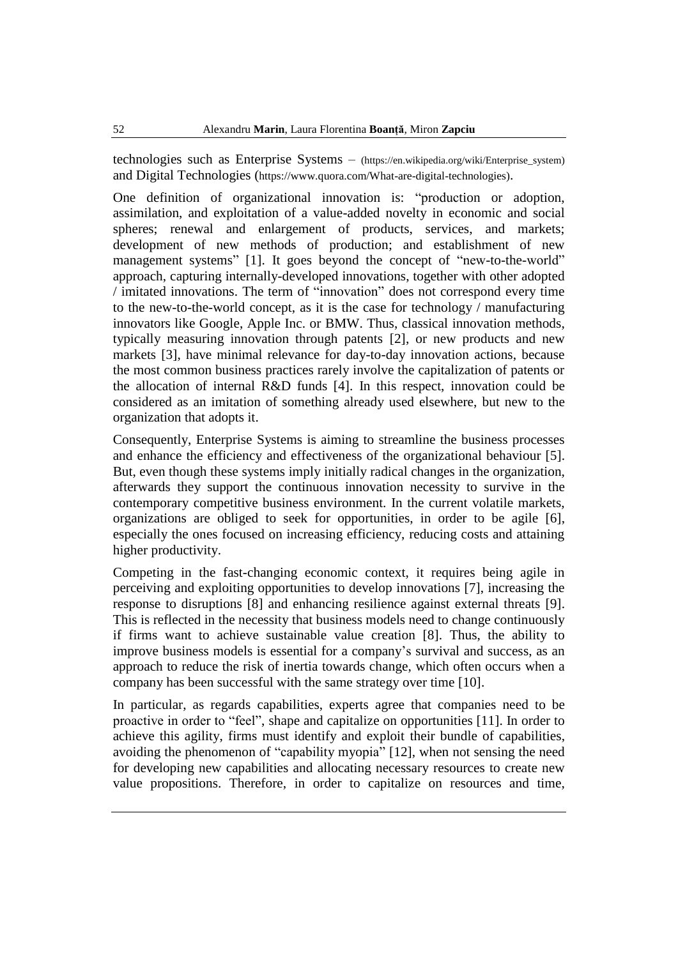technologies such as Enterprise Systems – (https://en.wikipedia.org/wiki/Enterprise\_system) and Digital Technologies (https://www.quora.com/What-are-digital-technologies).

One definition of organizational innovation is: "production or adoption, assimilation, and exploitation of a value-added novelty in economic and social spheres; renewal and enlargement of products, services, and markets; development of new methods of production; and establishment of new management systems" [1]. It goes beyond the concept of "new-to-the-world" approach, capturing internally-developed innovations, together with other adopted / imitated innovations. The term of "innovation" does not correspond every time to the new-to-the-world concept, as it is the case for technology / manufacturing innovators like Google, Apple Inc. or BMW. Thus, classical innovation methods, typically measuring innovation through patents [2], or new products and new markets [3], have minimal relevance for day-to-day innovation actions, because the most common business practices rarely involve the capitalization of patents or the allocation of internal R&D funds [4]. In this respect, innovation could be considered as an imitation of something already used elsewhere, but new to the organization that adopts it.

Consequently, Enterprise Systems is aiming to streamline the business processes and enhance the efficiency and effectiveness of the organizational behaviour [5]. But, even though these systems imply initially radical changes in the organization, afterwards they support the continuous innovation necessity to survive in the contemporary competitive business environment. In the current volatile markets, organizations are obliged to seek for opportunities, in order to be agile [6], especially the ones focused on increasing efficiency, reducing costs and attaining higher productivity.

Competing in the fast-changing economic context, it requires being agile in perceiving and exploiting opportunities to develop innovations [7], increasing the response to disruptions [8] and enhancing resilience against external threats [9]. This is reflected in the necessity that business models need to change continuously if firms want to achieve sustainable value creation [8]. Thus, the ability to improve business models is essential for a company's survival and success, as an approach to reduce the risk of inertia towards change, which often occurs when a company has been successful with the same strategy over time [10].

In particular, as regards capabilities, experts agree that companies need to be proactive in order to "feel", shape and capitalize on opportunities [11]. In order to achieve this agility, firms must identify and exploit their bundle of capabilities, avoiding the phenomenon of "capability myopia" [12], when not sensing the need for developing new capabilities and allocating necessary resources to create new value propositions. Therefore, in order to capitalize on resources and time,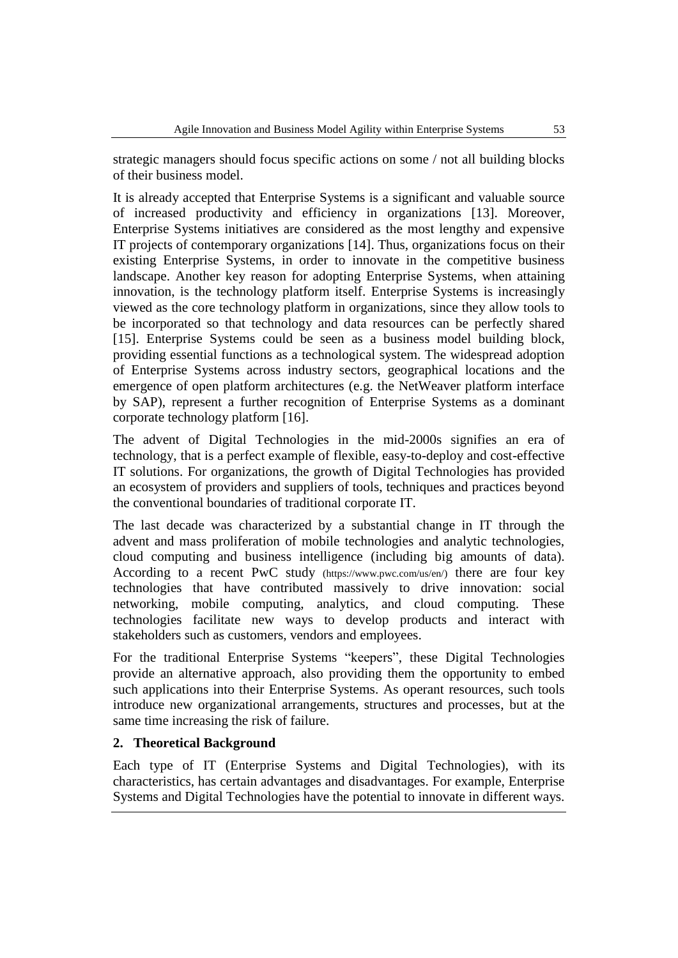strategic managers should focus specific actions on some / not all building blocks of their business model.

It is already accepted that Enterprise Systems is a significant and valuable source of increased productivity and efficiency in organizations [13]. Moreover, Enterprise Systems initiatives are considered as the most lengthy and expensive IT projects of contemporary organizations [14]. Thus, organizations focus on their existing Enterprise Systems, in order to innovate in the competitive business landscape. Another key reason for adopting Enterprise Systems, when attaining innovation, is the technology platform itself. Enterprise Systems is increasingly viewed as the core technology platform in organizations, since they allow tools to be incorporated so that technology and data resources can be perfectly shared [15]. Enterprise Systems could be seen as a business model building block, providing essential functions as a technological system. The widespread adoption of Enterprise Systems across industry sectors, geographical locations and the emergence of open platform architectures (e.g. the NetWeaver platform interface by SAP), represent a further recognition of Enterprise Systems as a dominant corporate technology platform [16].

The advent of Digital Technologies in the mid-2000s signifies an era of technology, that is a perfect example of flexible, easy-to-deploy and cost-effective IT solutions. For organizations, the growth of Digital Technologies has provided an ecosystem of providers and suppliers of tools, techniques and practices beyond the conventional boundaries of traditional corporate IT.

The last decade was characterized by a substantial change in IT through the advent and mass proliferation of mobile technologies and analytic technologies, cloud computing and business intelligence (including big amounts of data). According to a recent PwC study (https://www.pwc.com/us/en/) there are four key technologies that have contributed massively to drive innovation: social networking, mobile computing, analytics, and cloud computing. These technologies facilitate new ways to develop products and interact with stakeholders such as customers, vendors and employees.

For the traditional Enterprise Systems "keepers", these Digital Technologies provide an alternative approach, also providing them the opportunity to embed such applications into their Enterprise Systems. As operant resources, such tools introduce new organizational arrangements, structures and processes, but at the same time increasing the risk of failure.

## **2. Theoretical Background**

Each type of IT (Enterprise Systems and Digital Technologies), with its characteristics, has certain advantages and disadvantages. For example, Enterprise Systems and Digital Technologies have the potential to innovate in different ways.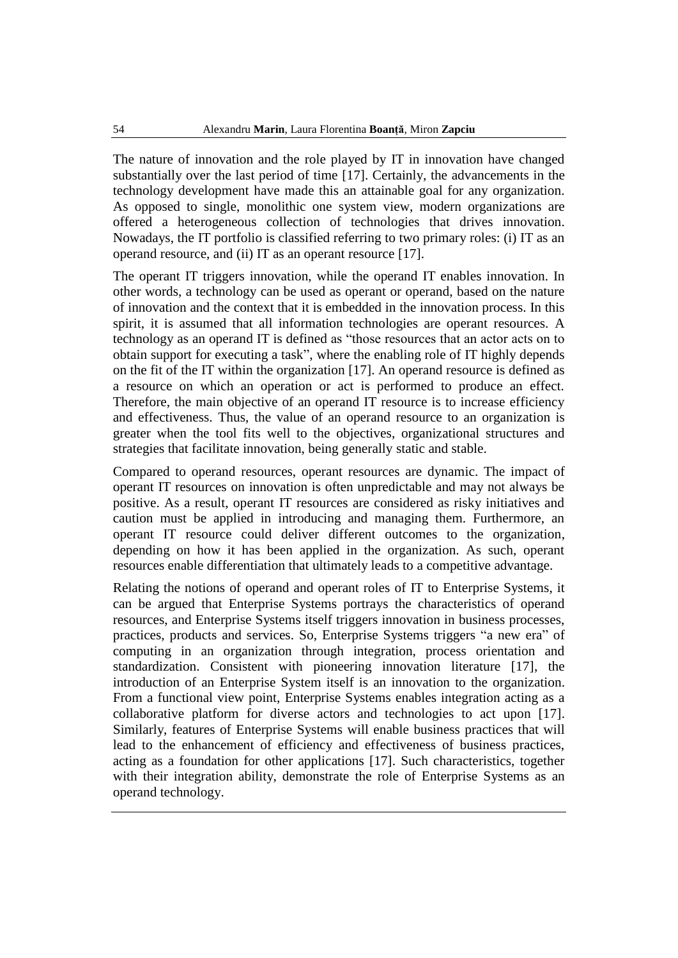The nature of innovation and the role played by IT in innovation have changed substantially over the last period of time [17]. Certainly, the advancements in the technology development have made this an attainable goal for any organization. As opposed to single, monolithic one system view, modern organizations are offered a heterogeneous collection of technologies that drives innovation. Nowadays, the IT portfolio is classified referring to two primary roles: (i) IT as an operand resource, and (ii) IT as an operant resource [17].

The operant IT triggers innovation, while the operand IT enables innovation. In other words, a technology can be used as operant or operand, based on the nature of innovation and the context that it is embedded in the innovation process. In this spirit, it is assumed that all information technologies are operant resources. A technology as an operand IT is defined as "those resources that an actor acts on to obtain support for executing a task", where the enabling role of IT highly depends on the fit of the IT within the organization [17]. An operand resource is defined as a resource on which an operation or act is performed to produce an effect. Therefore, the main objective of an operand IT resource is to increase efficiency and effectiveness. Thus, the value of an operand resource to an organization is greater when the tool fits well to the objectives, organizational structures and strategies that facilitate innovation, being generally static and stable.

Compared to operand resources, operant resources are dynamic. The impact of operant IT resources on innovation is often unpredictable and may not always be positive. As a result, operant IT resources are considered as risky initiatives and caution must be applied in introducing and managing them. Furthermore, an operant IT resource could deliver different outcomes to the organization, depending on how it has been applied in the organization. As such, operant resources enable differentiation that ultimately leads to a competitive advantage.

Relating the notions of operand and operant roles of IT to Enterprise Systems, it can be argued that Enterprise Systems portrays the characteristics of operand resources, and Enterprise Systems itself triggers innovation in business processes, practices, products and services. So, Enterprise Systems triggers "a new era" of computing in an organization through integration, process orientation and standardization. Consistent with pioneering innovation literature [17], the introduction of an Enterprise System itself is an innovation to the organization. From a functional view point, Enterprise Systems enables integration acting as a collaborative platform for diverse actors and technologies to act upon [17]. Similarly, features of Enterprise Systems will enable business practices that will lead to the enhancement of efficiency and effectiveness of business practices, acting as a foundation for other applications [17]. Such characteristics, together with their integration ability, demonstrate the role of Enterprise Systems as an operand technology.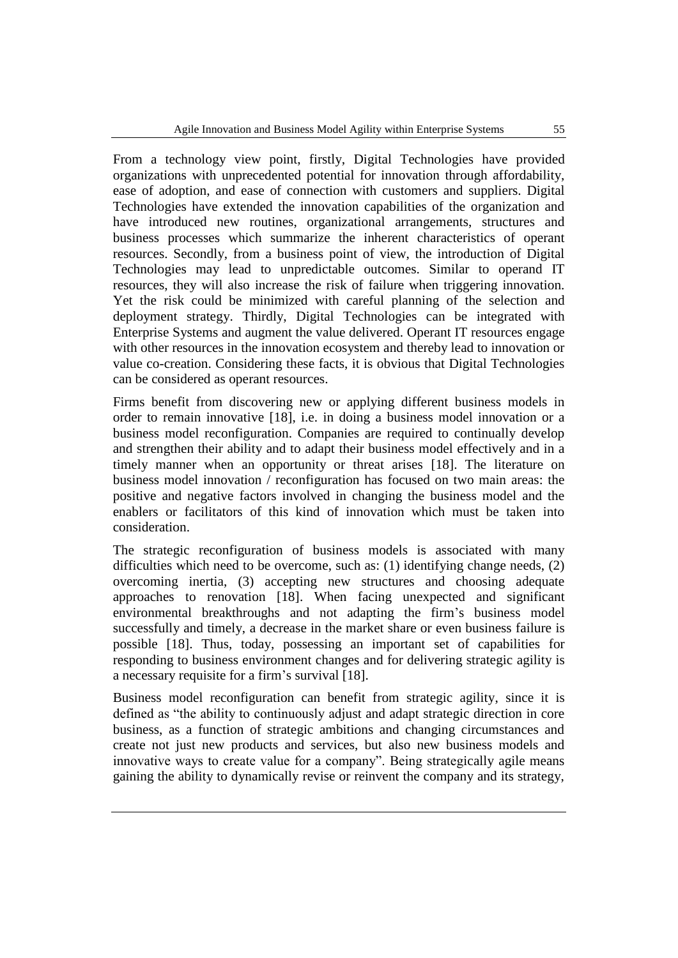From a technology view point, firstly, Digital Technologies have provided organizations with unprecedented potential for innovation through affordability, ease of adoption, and ease of connection with customers and suppliers. Digital Technologies have extended the innovation capabilities of the organization and have introduced new routines, organizational arrangements, structures and business processes which summarize the inherent characteristics of operant resources. Secondly, from a business point of view, the introduction of Digital Technologies may lead to unpredictable outcomes. Similar to operand IT resources, they will also increase the risk of failure when triggering innovation. Yet the risk could be minimized with careful planning of the selection and deployment strategy. Thirdly, Digital Technologies can be integrated with Enterprise Systems and augment the value delivered. Operant IT resources engage with other resources in the innovation ecosystem and thereby lead to innovation or value co-creation. Considering these facts, it is obvious that Digital Technologies can be considered as operant resources.

Firms benefit from discovering new or applying different business models in order to remain innovative [18], i.e. in doing a business model innovation or a business model reconfiguration. Companies are required to continually develop and strengthen their ability and to adapt their business model effectively and in a timely manner when an opportunity or threat arises [18]. The literature on business model innovation / reconfiguration has focused on two main areas: the positive and negative factors involved in changing the business model and the enablers or facilitators of this kind of innovation which must be taken into consideration.

The strategic reconfiguration of business models is associated with many difficulties which need to be overcome, such as: (1) identifying change needs, (2) overcoming inertia, (3) accepting new structures and choosing adequate approaches to renovation [18]. When facing unexpected and significant environmental breakthroughs and not adapting the firm's business model successfully and timely, a decrease in the market share or even business failure is possible [18]. Thus, today, possessing an important set of capabilities for responding to business environment changes and for delivering strategic agility is a necessary requisite for a firm's survival [18].

Business model reconfiguration can benefit from strategic agility, since it is defined as "the ability to continuously adjust and adapt strategic direction in core business, as a function of strategic ambitions and changing circumstances and create not just new products and services, but also new business models and innovative ways to create value for a company". Being strategically agile means gaining the ability to dynamically revise or reinvent the company and its strategy,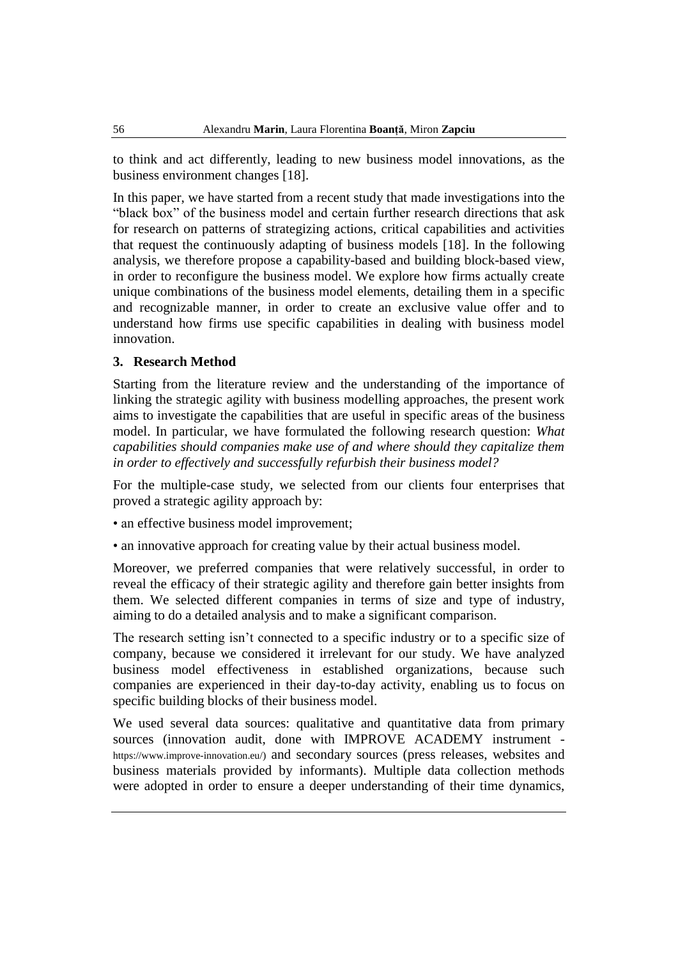to think and act differently, leading to new business model innovations, as the business environment changes [18].

In this paper, we have started from a recent study that made investigations into the "black box" of the business model and certain further research directions that ask for research on patterns of strategizing actions, critical capabilities and activities that request the continuously adapting of business models [18]. In the following analysis, we therefore propose a capability-based and building block-based view, in order to reconfigure the business model. We explore how firms actually create unique combinations of the business model elements, detailing them in a specific and recognizable manner, in order to create an exclusive value offer and to understand how firms use specific capabilities in dealing with business model innovation.

### **3. Research Method**

Starting from the literature review and the understanding of the importance of linking the strategic agility with business modelling approaches, the present work aims to investigate the capabilities that are useful in specific areas of the business model. In particular, we have formulated the following research question: *What capabilities should companies make use of and where should they capitalize them in order to effectively and successfully refurbish their business model?*

For the multiple-case study, we selected from our clients four enterprises that proved a strategic agility approach by:

• an effective business model improvement;

• an innovative approach for creating value by their actual business model.

Moreover, we preferred companies that were relatively successful, in order to reveal the efficacy of their strategic agility and therefore gain better insights from them. We selected different companies in terms of size and type of industry, aiming to do a detailed analysis and to make a significant comparison.

The research setting isn't connected to a specific industry or to a specific size of company, because we considered it irrelevant for our study. We have analyzed business model effectiveness in established organizations, because such companies are experienced in their day-to-day activity, enabling us to focus on specific building blocks of their business model.

We used several data sources: qualitative and quantitative data from primary sources (innovation audit, done with IMPROVE ACADEMY instrument https://www.improve-innovation.eu/) and secondary sources (press releases, websites and business materials provided by informants). Multiple data collection methods were adopted in order to ensure a deeper understanding of their time dynamics,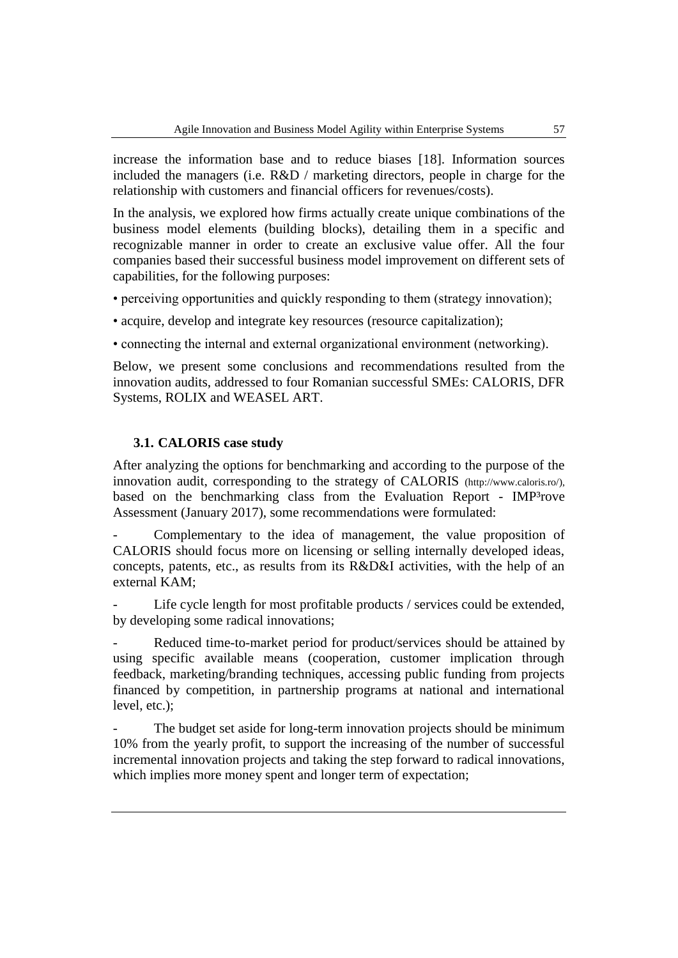increase the information base and to reduce biases [18]. Information sources included the managers (i.e. R&D / marketing directors, people in charge for the relationship with customers and financial officers for revenues/costs).

In the analysis, we explored how firms actually create unique combinations of the business model elements (building blocks), detailing them in a specific and recognizable manner in order to create an exclusive value offer. All the four companies based their successful business model improvement on different sets of capabilities, for the following purposes:

• perceiving opportunities and quickly responding to them (strategy innovation);

• acquire, develop and integrate key resources (resource capitalization);

• connecting the internal and external organizational environment (networking).

Below, we present some conclusions and recommendations resulted from the innovation audits, addressed to four Romanian successful SMEs: CALORIS, DFR Systems, ROLIX and WEASEL ART.

### **3.1. CALORIS case study**

After analyzing the options for benchmarking and according to the purpose of the innovation audit, corresponding to the strategy of CALORIS (http://www.caloris.ro/), based on the benchmarking class from the Evaluation Report - IMP<sup>3</sup>rove Assessment (January 2017), some recommendations were formulated:

Complementary to the idea of management, the value proposition of CALORIS should focus more on licensing or selling internally developed ideas, concepts, patents, etc., as results from its R&D&I activities, with the help of an external KAM;

Life cycle length for most profitable products / services could be extended, by developing some radical innovations;

Reduced time-to-market period for product/services should be attained by using specific available means (cooperation, customer implication through feedback, marketing/branding techniques, accessing public funding from projects financed by competition, in partnership programs at national and international level, etc.);

The budget set aside for long-term innovation projects should be minimum 10% from the yearly profit, to support the increasing of the number of successful incremental innovation projects and taking the step forward to radical innovations, which implies more money spent and longer term of expectation;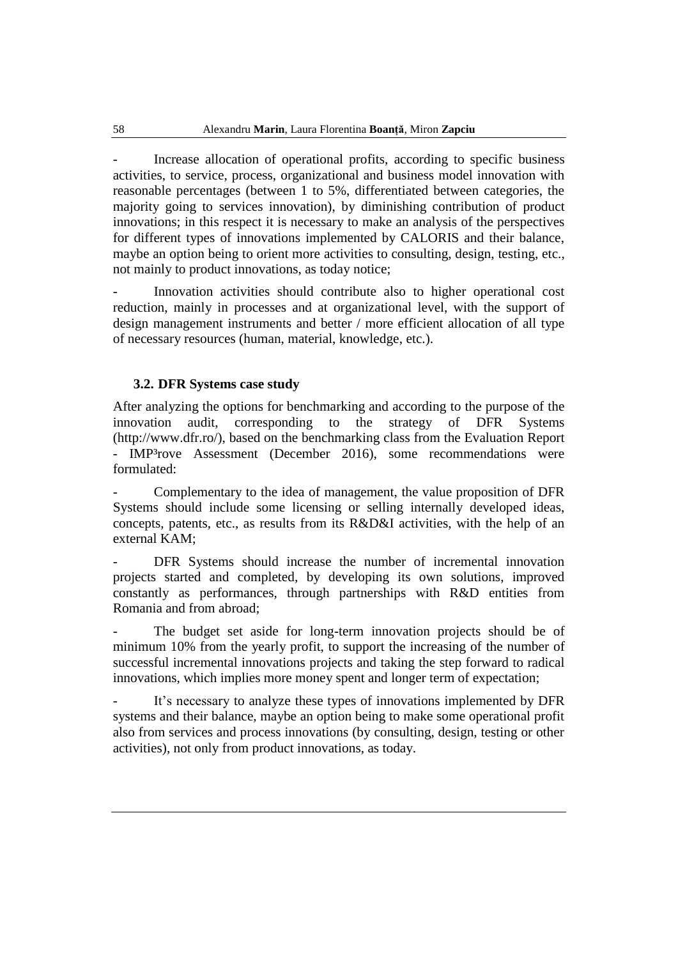Increase allocation of operational profits, according to specific business activities, to service, process, organizational and business model innovation with reasonable percentages (between 1 to 5%, differentiated between categories, the majority going to services innovation), by diminishing contribution of product innovations; in this respect it is necessary to make an analysis of the perspectives for different types of innovations implemented by CALORIS and their balance, maybe an option being to orient more activities to consulting, design, testing, etc., not mainly to product innovations, as today notice;

Innovation activities should contribute also to higher operational cost reduction, mainly in processes and at organizational level, with the support of design management instruments and better / more efficient allocation of all type of necessary resources (human, material, knowledge, etc.).

#### **3.2. DFR Systems case study**

After analyzing the options for benchmarking and according to the purpose of the innovation audit, corresponding to the strategy of DFR Systems (http://www.dfr.ro/), based on the benchmarking class from the Evaluation Report - IMP³rove Assessment (December 2016), some recommendations were formulated:

- Complementary to the idea of management, the value proposition of DFR Systems should include some licensing or selling internally developed ideas, concepts, patents, etc., as results from its R&D&I activities, with the help of an external KAM;

DFR Systems should increase the number of incremental innovation projects started and completed, by developing its own solutions, improved constantly as performances, through partnerships with R&D entities from Romania and from abroad;

The budget set aside for long-term innovation projects should be of minimum 10% from the yearly profit, to support the increasing of the number of successful incremental innovations projects and taking the step forward to radical innovations, which implies more money spent and longer term of expectation;

It's necessary to analyze these types of innovations implemented by DFR systems and their balance, maybe an option being to make some operational profit also from services and process innovations (by consulting, design, testing or other activities), not only from product innovations, as today.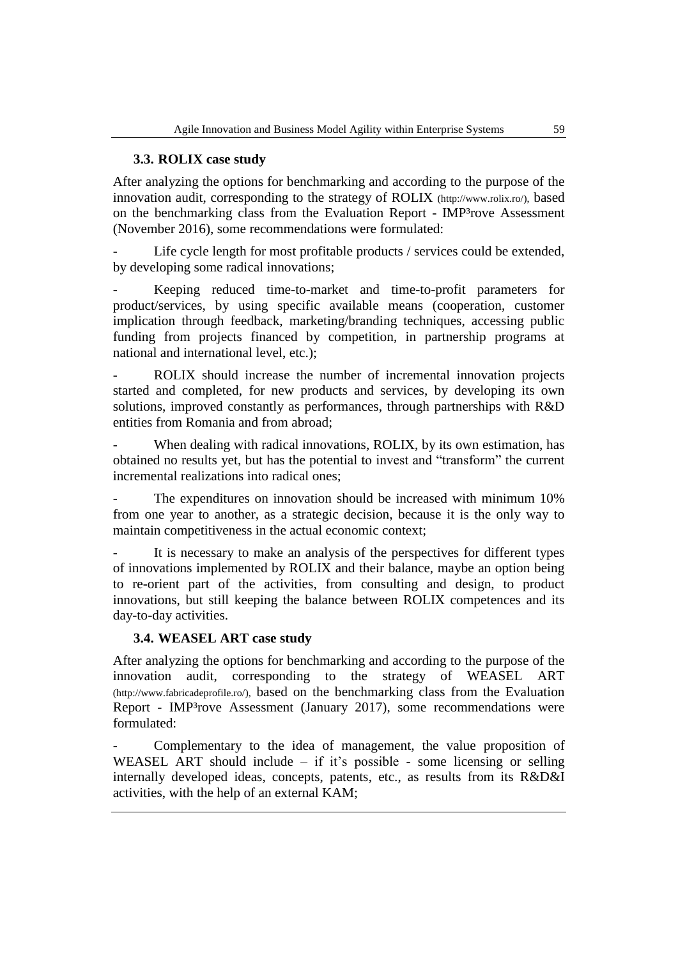### **3.3. ROLIX case study**

After analyzing the options for benchmarking and according to the purpose of the innovation audit, corresponding to the strategy of ROLIX (http://www.rolix.ro/), based on the benchmarking class from the Evaluation Report - IMP<sup>3</sup>rove Assessment (November 2016), some recommendations were formulated:

Life cycle length for most profitable products / services could be extended, by developing some radical innovations;

Keeping reduced time-to-market and time-to-profit parameters for product/services, by using specific available means (cooperation, customer implication through feedback, marketing/branding techniques, accessing public funding from projects financed by competition, in partnership programs at national and international level, etc.);

ROLIX should increase the number of incremental innovation projects started and completed, for new products and services, by developing its own solutions, improved constantly as performances, through partnerships with R&D entities from Romania and from abroad;

When dealing with radical innovations, ROLIX, by its own estimation, has obtained no results yet, but has the potential to invest and "transform" the current incremental realizations into radical ones;

The expenditures on innovation should be increased with minimum  $10\%$ from one year to another, as a strategic decision, because it is the only way to maintain competitiveness in the actual economic context;

It is necessary to make an analysis of the perspectives for different types of innovations implemented by ROLIX and their balance, maybe an option being to re-orient part of the activities, from consulting and design, to product innovations, but still keeping the balance between ROLIX competences and its day-to-day activities.

### **3.4. WEASEL ART case study**

After analyzing the options for benchmarking and according to the purpose of the innovation audit, corresponding to the strategy of WEASEL ART (http://www.fabricadeprofile.ro/), based on the benchmarking class from the Evaluation Report - IMP³rove Assessment (January 2017), some recommendations were formulated:

Complementary to the idea of management, the value proposition of WEASEL ART should include – if it's possible - some licensing or selling internally developed ideas, concepts, patents, etc., as results from its R&D&I activities, with the help of an external KAM;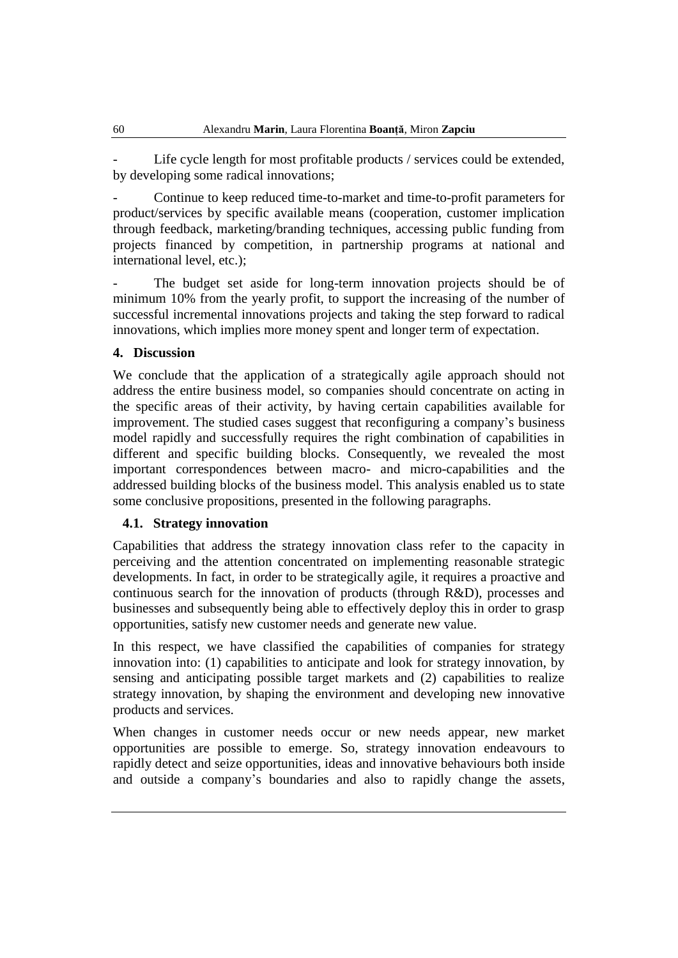Life cycle length for most profitable products / services could be extended, by developing some radical innovations;

- Continue to keep reduced time-to-market and time-to-profit parameters for product/services by specific available means (cooperation, customer implication through feedback, marketing/branding techniques, accessing public funding from projects financed by competition, in partnership programs at national and international level, etc.);

The budget set aside for long-term innovation projects should be of minimum 10% from the yearly profit, to support the increasing of the number of successful incremental innovations projects and taking the step forward to radical innovations, which implies more money spent and longer term of expectation.

### **4. Discussion**

We conclude that the application of a strategically agile approach should not address the entire business model, so companies should concentrate on acting in the specific areas of their activity, by having certain capabilities available for improvement. The studied cases suggest that reconfiguring a company's business model rapidly and successfully requires the right combination of capabilities in different and specific building blocks. Consequently, we revealed the most important correspondences between macro- and micro-capabilities and the addressed building blocks of the business model. This analysis enabled us to state some conclusive propositions, presented in the following paragraphs.

#### **4.1. Strategy innovation**

Capabilities that address the strategy innovation class refer to the capacity in perceiving and the attention concentrated on implementing reasonable strategic developments. In fact, in order to be strategically agile, it requires a proactive and continuous search for the innovation of products (through R&D), processes and businesses and subsequently being able to effectively deploy this in order to grasp opportunities, satisfy new customer needs and generate new value.

In this respect, we have classified the capabilities of companies for strategy innovation into: (1) capabilities to anticipate and look for strategy innovation, by sensing and anticipating possible target markets and (2) capabilities to realize strategy innovation, by shaping the environment and developing new innovative products and services.

When changes in customer needs occur or new needs appear, new market opportunities are possible to emerge. So, strategy innovation endeavours to rapidly detect and seize opportunities, ideas and innovative behaviours both inside and outside a company's boundaries and also to rapidly change the assets,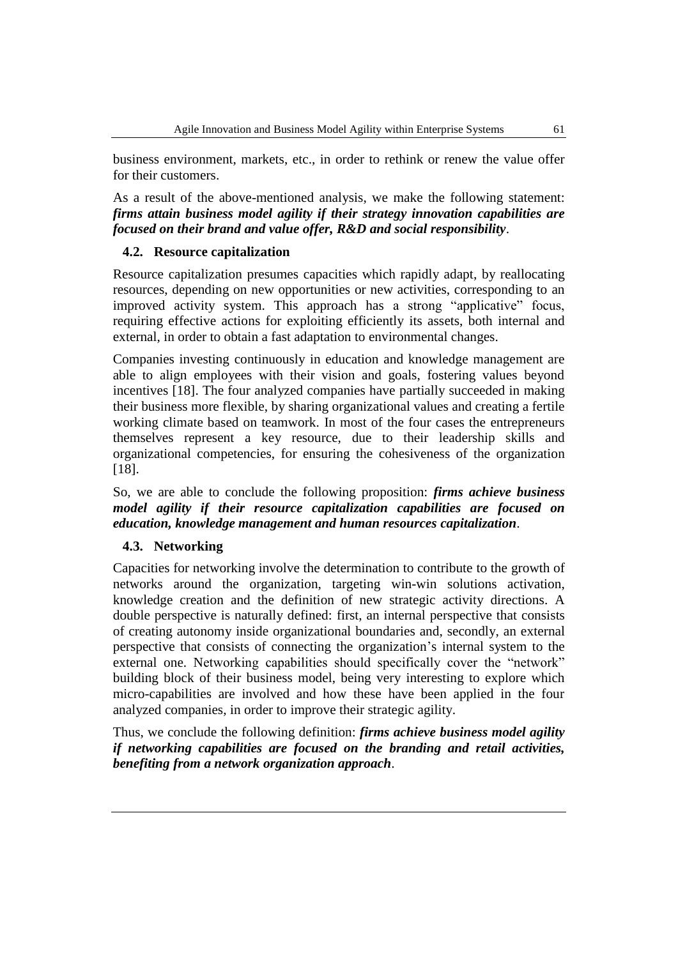business environment, markets, etc., in order to rethink or renew the value offer for their customers.

As a result of the above-mentioned analysis, we make the following statement: *firms attain business model agility if their strategy innovation capabilities are focused on their brand and value offer, R&D and social responsibility*.

### **4.2. Resource capitalization**

Resource capitalization presumes capacities which rapidly adapt, by reallocating resources, depending on new opportunities or new activities, corresponding to an improved activity system. This approach has a strong "applicative" focus, requiring effective actions for exploiting efficiently its assets, both internal and external, in order to obtain a fast adaptation to environmental changes.

Companies investing continuously in education and knowledge management are able to align employees with their vision and goals, fostering values beyond incentives [18]. The four analyzed companies have partially succeeded in making their business more flexible, by sharing organizational values and creating a fertile working climate based on teamwork. In most of the four cases the entrepreneurs themselves represent a key resource, due to their leadership skills and organizational competencies, for ensuring the cohesiveness of the organization [18].

So, we are able to conclude the following proposition: *firms achieve business model agility if their resource capitalization capabilities are focused on education, knowledge management and human resources capitalization*.

### **4.3. Networking**

Capacities for networking involve the determination to contribute to the growth of networks around the organization, targeting win-win solutions activation, knowledge creation and the definition of new strategic activity directions. A double perspective is naturally defined: first, an internal perspective that consists of creating autonomy inside organizational boundaries and, secondly, an external perspective that consists of connecting the organization's internal system to the external one. Networking capabilities should specifically cover the "network" building block of their business model, being very interesting to explore which micro-capabilities are involved and how these have been applied in the four analyzed companies, in order to improve their strategic agility.

Thus, we conclude the following definition: *firms achieve business model agility if networking capabilities are focused on the branding and retail activities, benefiting from a network organization approach*.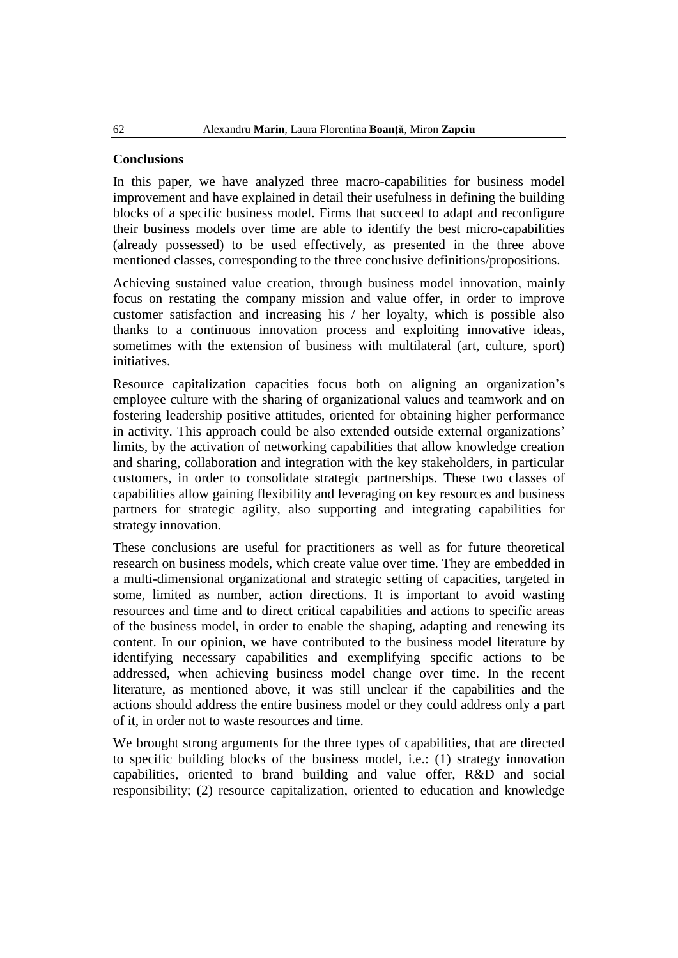### **Conclusions**

In this paper, we have analyzed three macro-capabilities for business model improvement and have explained in detail their usefulness in defining the building blocks of a specific business model. Firms that succeed to adapt and reconfigure their business models over time are able to identify the best micro-capabilities (already possessed) to be used effectively, as presented in the three above mentioned classes, corresponding to the three conclusive definitions/propositions.

Achieving sustained value creation, through business model innovation, mainly focus on restating the company mission and value offer, in order to improve customer satisfaction and increasing his / her loyalty, which is possible also thanks to a continuous innovation process and exploiting innovative ideas, sometimes with the extension of business with multilateral (art, culture, sport) initiatives.

Resource capitalization capacities focus both on aligning an organization's employee culture with the sharing of organizational values and teamwork and on fostering leadership positive attitudes, oriented for obtaining higher performance in activity. This approach could be also extended outside external organizations' limits, by the activation of networking capabilities that allow knowledge creation and sharing, collaboration and integration with the key stakeholders, in particular customers, in order to consolidate strategic partnerships. These two classes of capabilities allow gaining flexibility and leveraging on key resources and business partners for strategic agility, also supporting and integrating capabilities for strategy innovation.

These conclusions are useful for practitioners as well as for future theoretical research on business models, which create value over time. They are embedded in a multi-dimensional organizational and strategic setting of capacities, targeted in some, limited as number, action directions. It is important to avoid wasting resources and time and to direct critical capabilities and actions to specific areas of the business model, in order to enable the shaping, adapting and renewing its content. In our opinion, we have contributed to the business model literature by identifying necessary capabilities and exemplifying specific actions to be addressed, when achieving business model change over time. In the recent literature, as mentioned above, it was still unclear if the capabilities and the actions should address the entire business model or they could address only a part of it, in order not to waste resources and time.

We brought strong arguments for the three types of capabilities, that are directed to specific building blocks of the business model, i.e.: (1) strategy innovation capabilities, oriented to brand building and value offer, R&D and social responsibility; (2) resource capitalization, oriented to education and knowledge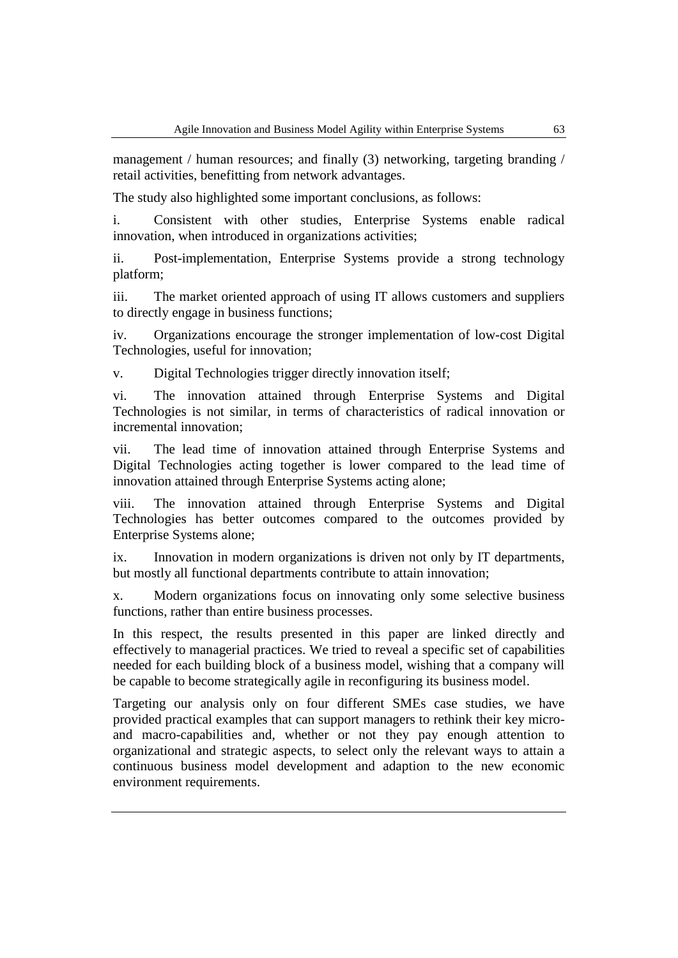management / human resources; and finally (3) networking, targeting branding / retail activities, benefitting from network advantages.

The study also highlighted some important conclusions, as follows:

i. Consistent with other studies, Enterprise Systems enable radical innovation, when introduced in organizations activities;

ii. Post-implementation, Enterprise Systems provide a strong technology platform;

iii. The market oriented approach of using IT allows customers and suppliers to directly engage in business functions;

iv. Organizations encourage the stronger implementation of low-cost Digital Technologies, useful for innovation;

v. Digital Technologies trigger directly innovation itself;

vi. The innovation attained through Enterprise Systems and Digital Technologies is not similar, in terms of characteristics of radical innovation or incremental innovation;

vii. The lead time of innovation attained through Enterprise Systems and Digital Technologies acting together is lower compared to the lead time of innovation attained through Enterprise Systems acting alone;

viii. The innovation attained through Enterprise Systems and Digital Technologies has better outcomes compared to the outcomes provided by Enterprise Systems alone;

ix. Innovation in modern organizations is driven not only by IT departments, but mostly all functional departments contribute to attain innovation;

x. Modern organizations focus on innovating only some selective business functions, rather than entire business processes.

In this respect, the results presented in this paper are linked directly and effectively to managerial practices. We tried to reveal a specific set of capabilities needed for each building block of a business model, wishing that a company will be capable to become strategically agile in reconfiguring its business model.

Targeting our analysis only on four different SMEs case studies, we have provided practical examples that can support managers to rethink their key microand macro-capabilities and, whether or not they pay enough attention to organizational and strategic aspects, to select only the relevant ways to attain a continuous business model development and adaption to the new economic environment requirements.